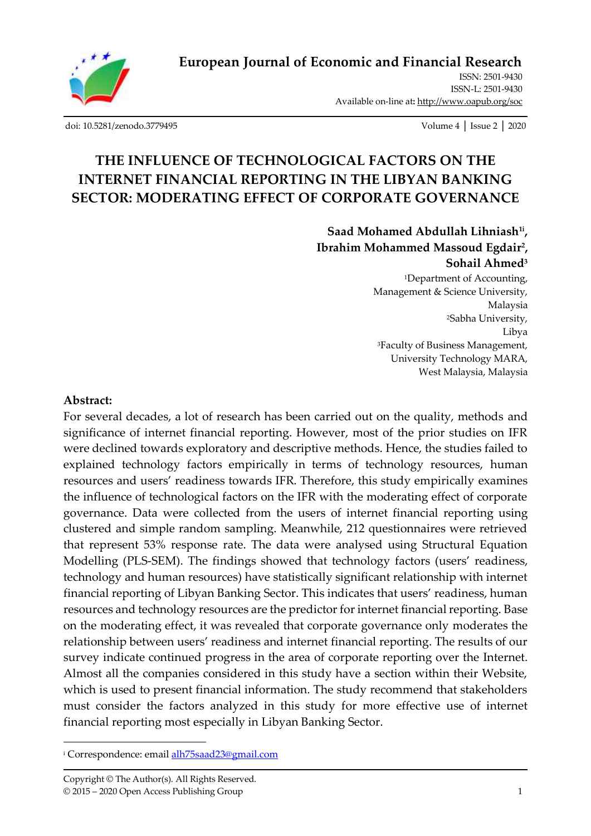

ISSN: 2501-9430 ISSN-L: 2501-943[0](http://oapub.org/soc/index.php/EJSSS) Available on-line at**:** <http://www.oapub.org/soc>

[doi: 10.5281/zenodo.3779495](http://dx.doi.org/10.5281/zenodo.3779495) Volume 4 │ Issue 2 │ 2020

# **THE INFLUENCE OF TECHNOLOGICAL FACTORS ON THE INTERNET FINANCIAL REPORTING IN THE LIBYAN BANKING SECTOR: MODERATING EFFECT OF CORPORATE GOVERNANCE**

**Saad Mohamed Abdullah Lihniash1i , Ibrahim Mohammed Massoud Egdair<sup>2</sup> , Sohail Ahmed<sup>3</sup>**

<sup>1</sup>Department of Accounting, Management & Science University, Malaysia <sup>2</sup>Sabha University, Libya <sup>3</sup>Faculty of Business Management, University Technology MARA, West Malaysia, Malaysia

#### **Abstract:**

For several decades, a lot of research has been carried out on the quality, methods and significance of internet financial reporting. However, most of the prior studies on IFR were declined towards exploratory and descriptive methods. Hence, the studies failed to explained technology factors empirically in terms of technology resources, human resources and users' readiness towards IFR. Therefore, this study empirically examines the influence of technological factors on the IFR with the moderating effect of corporate governance. Data were collected from the users of internet financial reporting using clustered and simple random sampling. Meanwhile, 212 questionnaires were retrieved that represent 53% response rate. The data were analysed using Structural Equation Modelling (PLS-SEM). The findings showed that technology factors (users' readiness, technology and human resources) have statistically significant relationship with internet financial reporting of Libyan Banking Sector. This indicates that users' readiness, human resources and technology resources are the predictor for internet financial reporting. Base on the moderating effect, it was revealed that corporate governance only moderates the relationship between users' readiness and internet financial reporting. The results of our survey indicate continued progress in the area of corporate reporting over the Internet. Almost all the companies considered in this study have a section within their Website, which is used to present financial information. The study recommend that stakeholders must consider the factors analyzed in this study for more effective use of internet financial reporting most especially in Libyan Banking Sector.

<sup>i</sup> Correspondence: emai[l alh75saad23@gmail.com](mailto:alh75saad23@gmail.com)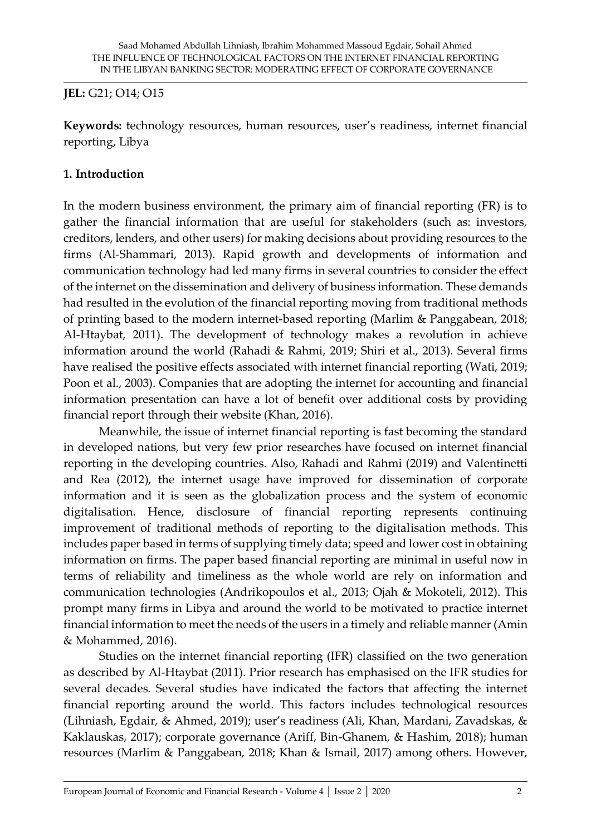# **JEL:** G21; O14; O15

**Keywords:** technology resources, human resources, user's readiness, internet financial reporting, Libya

# **1. Introduction**

In the modern business environment, the primary aim of financial reporting (FR) is to gather the financial information that are useful for stakeholders (such as: investors, creditors, lenders, and other users) for making decisions about providing resources to the firms (Al-Shammari, 2013). Rapid growth and developments of information and communication technology had led many firms in several countries to consider the effect of the internet on the dissemination and delivery of business information. These demands had resulted in the evolution of the financial reporting moving from traditional methods of printing based to the modern internet-based reporting (Marlim & Panggabean, 2018; Al-Htaybat, 2011). The development of technology makes a revolution in achieve information around the world (Rahadi & Rahmi, 2019; Shiri et al., 2013). Several firms have realised the positive effects associated with internet financial reporting (Wati, 2019; Poon et al., 2003). Companies that are adopting the internet for accounting and financial information presentation can have a lot of benefit over additional costs by providing financial report through their website (Khan, 2016).

Meanwhile, the issue of internet financial reporting is fast becoming the standard in developed nations, but very few prior researches have focused on internet financial reporting in the developing countries. Also, Rahadi and Rahmi (2019) and Valentinetti and Rea (2012), the internet usage have improved for dissemination of corporate information and it is seen as the globalization process and the system of economic digitalisation. Hence, disclosure of financial reporting represents continuing improvement of traditional methods of reporting to the digitalisation methods. This includes paper based in terms of supplying timely data; speed and lower cost in obtaining information on firms. The paper based financial reporting are minimal in useful now in terms of reliability and timeliness as the whole world are rely on information and communication technologies (Andrikopoulos et al., 2013; Ojah & Mokoteli, 2012). This prompt many firms in Libya and around the world to be motivated to practice internet financial information to meet the needs of the users in a timely and reliable manner (Amin & Mohammed, 2016).

Studies on the internet financial reporting (IFR) classified on the two generation as described by Al-Htaybat (2011). Prior research has emphasised on the IFR studies for several decades. Several studies have indicated the factors that affecting the internet financial reporting around the world. This factors includes technological resources (Lihniash, Egdair, & Ahmed, 2019); user's readiness (Ali, Khan, Mardani, Zavadskas, & Kaklauskas, 2017); corporate governance (Ariff, Bin-Ghanem, & Hashim, 2018); human resources (Marlim & Panggabean, 2018; Khan & Ismail, 2017) among others. However,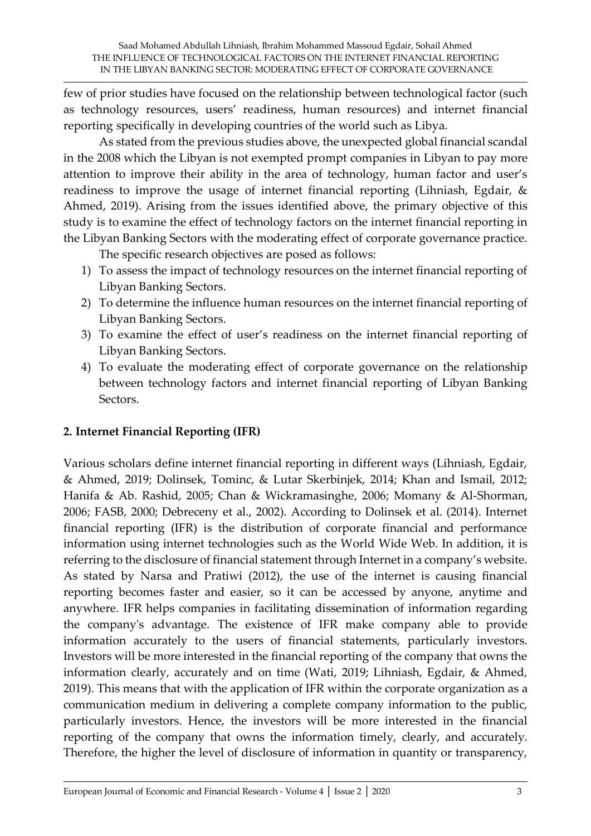few of prior studies have focused on the relationship between technological factor (such as technology resources, users' readiness, human resources) and internet financial reporting specifically in developing countries of the world such as Libya.

As stated from the previous studies above, the unexpected global financial scandal in the 2008 which the Libyan is not exempted prompt companies in Libyan to pay more attention to improve their ability in the area of technology, human factor and user's readiness to improve the usage of internet financial reporting (Lihniash, Egdair, & Ahmed, 2019). Arising from the issues identified above, the primary objective of this study is to examine the effect of technology factors on the internet financial reporting in the Libyan Banking Sectors with the moderating effect of corporate governance practice.

The specific research objectives are posed as follows:

- 1) To assess the impact of technology resources on the internet financial reporting of Libyan Banking Sectors.
- 2) To determine the influence human resources on the internet financial reporting of Libyan Banking Sectors.
- 3) To examine the effect of user's readiness on the internet financial reporting of Libyan Banking Sectors.
- 4) To evaluate the moderating effect of corporate governance on the relationship between technology factors and internet financial reporting of Libyan Banking Sectors.

# **2. Internet Financial Reporting (IFR)**

Various scholars define internet financial reporting in different ways (Lihniash, Egdair, & Ahmed, 2019; Dolinsek, Tominc, & Lutar Skerbinjek, 2014; Khan and Ismail, 2012; Hanifa & Ab. Rashid, 2005; Chan & Wickramasinghe, 2006; Momany & Al-Shorman, 2006; FASB, 2000; Debreceny et al., 2002). According to Dolinsek et al. (2014). Internet financial reporting (IFR) is the distribution of corporate financial and performance information using internet technologies such as the World Wide Web. In addition, it is referring to the disclosure of financial statement through Internet in a company's website. As stated by Narsa and Pratiwi (2012), the use of the internet is causing financial reporting becomes faster and easier, so it can be accessed by anyone, anytime and anywhere. IFR helps companies in facilitating dissemination of information regarding the company's advantage. The existence of IFR make company able to provide information accurately to the users of financial statements, particularly investors. Investors will be more interested in the financial reporting of the company that owns the information clearly, accurately and on time (Wati, 2019; Lihniash, Egdair, & Ahmed, 2019). This means that with the application of IFR within the corporate organization as a communication medium in delivering a complete company information to the public, particularly investors. Hence, the investors will be more interested in the financial reporting of the company that owns the information timely, clearly, and accurately. Therefore, the higher the level of disclosure of information in quantity or transparency,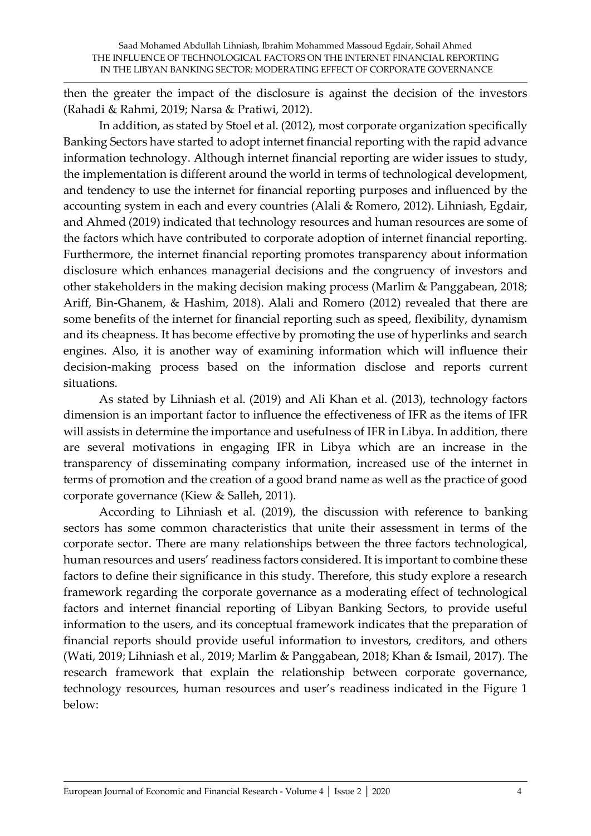then the greater the impact of the disclosure is against the decision of the investors (Rahadi & Rahmi, 2019; Narsa & Pratiwi, 2012).

In addition, as stated by Stoel et al. (2012), most corporate organization specifically Banking Sectors have started to adopt internet financial reporting with the rapid advance information technology. Although internet financial reporting are wider issues to study, the implementation is different around the world in terms of technological development, and tendency to use the internet for financial reporting purposes and influenced by the accounting system in each and every countries (Alali & Romero, 2012). Lihniash, Egdair, and Ahmed (2019) indicated that technology resources and human resources are some of the factors which have contributed to corporate adoption of internet financial reporting. Furthermore, the internet financial reporting promotes transparency about information disclosure which enhances managerial decisions and the congruency of investors and other stakeholders in the making decision making process (Marlim & Panggabean, 2018; Ariff, Bin-Ghanem, & Hashim, 2018). Alali and Romero (2012) revealed that there are some benefits of the internet for financial reporting such as speed, flexibility, dynamism and its cheapness. It has become effective by promoting the use of hyperlinks and search engines. Also, it is another way of examining information which will influence their decision-making process based on the information disclose and reports current situations.

As stated by Lihniash et al. (2019) and Ali Khan et al. (2013), technology factors dimension is an important factor to influence the effectiveness of IFR as the items of IFR will assists in determine the importance and usefulness of IFR in Libya. In addition, there are several motivations in engaging IFR in Libya which are an increase in the transparency of disseminating company information, increased use of the internet in terms of promotion and the creation of a good brand name as well as the practice of good corporate governance (Kiew & Salleh, 2011).

According to Lihniash et al. (2019), the discussion with reference to banking sectors has some common characteristics that unite their assessment in terms of the corporate sector. There are many relationships between the three factors technological, human resources and users' readiness factors considered. It is important to combine these factors to define their significance in this study. Therefore, this study explore a research framework regarding the corporate governance as a moderating effect of technological factors and internet financial reporting of Libyan Banking Sectors, to provide useful information to the users, and its conceptual framework indicates that the preparation of financial reports should provide useful information to investors, creditors, and others (Wati, 2019; Lihniash et al., 2019; Marlim & Panggabean, 2018; Khan & Ismail, 2017). The research framework that explain the relationship between corporate governance, technology resources, human resources and user's readiness indicated in the Figure 1 below: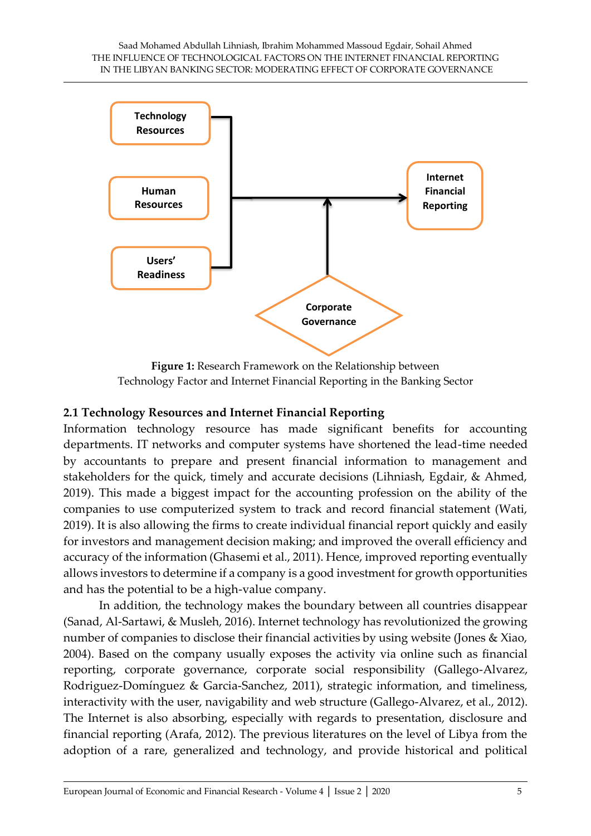

**Figure 1:** Research Framework on the Relationship between Technology Factor and Internet Financial Reporting in the Banking Sector

#### **2.1 Technology Resources and Internet Financial Reporting**

Information technology resource has made significant benefits for accounting departments. IT networks and computer systems have shortened the lead-time needed by accountants to prepare and present financial information to management and stakeholders for the quick, timely and accurate decisions (Lihniash, Egdair, & Ahmed, 2019). This made a biggest impact for the accounting profession on the ability of the companies to use computerized system to track and record financial statement (Wati, 2019). It is also allowing the firms to create individual financial report quickly and easily for investors and management decision making; and improved the overall efficiency and accuracy of the information (Ghasemi et al., 2011). Hence, improved reporting eventually allows investors to determine if a company is a good investment for growth opportunities and has the potential to be a high-value company.

In addition, the technology makes the boundary between all countries disappear (Sanad, Al-Sartawi, & Musleh, 2016). Internet technology has revolutionized the growing number of companies to disclose their financial activities by using website (Jones & Xiao, 2004). Based on the company usually exposes the activity via online such as financial reporting, corporate governance, corporate social responsibility (Gallego-Alvarez, Rodriguez-Domínguez & Garcia-Sanchez, 2011), strategic information, and timeliness, interactivity with the user, navigability and web structure (Gallego-Alvarez, et al., 2012). The Internet is also absorbing, especially with regards to presentation, disclosure and financial reporting (Arafa, 2012). The previous literatures on the level of Libya from the adoption of a rare, generalized and technology, and provide historical and political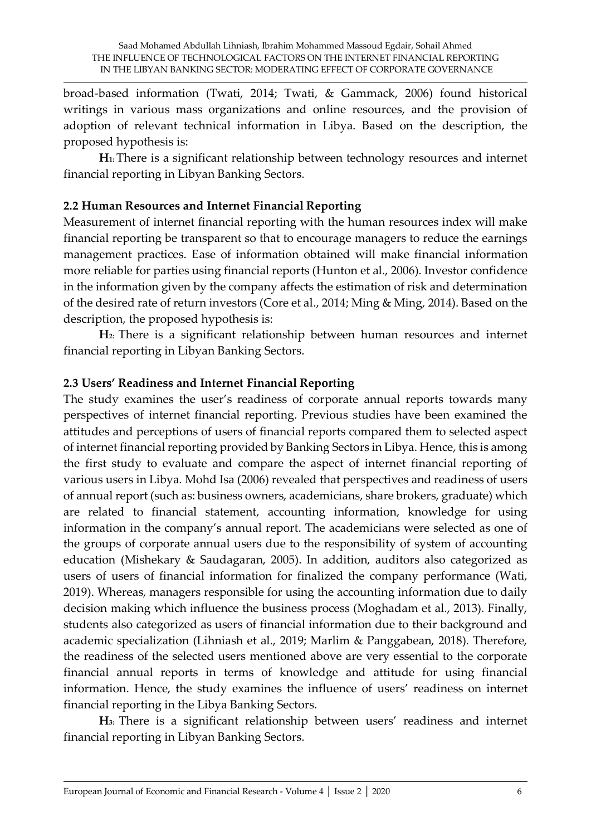broad-based information (Twati, 2014; Twati, & Gammack, 2006) found historical writings in various mass organizations and online resources, and the provision of adoption of relevant technical information in Libya. Based on the description, the proposed hypothesis is:

**H1:** There is a significant relationship between technology resources and internet financial reporting in Libyan Banking Sectors*.*

# **2.2 Human Resources and Internet Financial Reporting**

Measurement of internet financial reporting with the human resources index will make financial reporting be transparent so that to encourage managers to reduce the earnings management practices. Ease of information obtained will make financial information more reliable for parties using financial reports (Hunton et al., 2006). Investor confidence in the information given by the company affects the estimation of risk and determination of the desired rate of return investors (Core et al., 2014; Ming & Ming, 2014). Based on the description, the proposed hypothesis is:

**H2:** There is a significant relationship between human resources and internet financial reporting in Libyan Banking Sectors.

#### **2.3 Users' Readiness and Internet Financial Reporting**

The study examines the user's readiness of corporate annual reports towards many perspectives of internet financial reporting. Previous studies have been examined the attitudes and perceptions of users of financial reports compared them to selected aspect of internet financial reporting provided by Banking Sectors in Libya. Hence, this is among the first study to evaluate and compare the aspect of internet financial reporting of various users in Libya. Mohd Isa (2006) revealed that perspectives and readiness of users of annual report (such as: business owners, academicians, share brokers, graduate) which are related to financial statement, accounting information, knowledge for using information in the company's annual report. The academicians were selected as one of the groups of corporate annual users due to the responsibility of system of accounting education (Mishekary & Saudagaran, 2005). In addition, auditors also categorized as users of users of financial information for finalized the company performance (Wati, 2019). Whereas, managers responsible for using the accounting information due to daily decision making which influence the business process (Moghadam et al., 2013). Finally, students also categorized as users of financial information due to their background and academic specialization (Lihniash et al., 2019; Marlim & Panggabean, 2018). Therefore, the readiness of the selected users mentioned above are very essential to the corporate financial annual reports in terms of knowledge and attitude for using financial information. Hence, the study examines the influence of users' readiness on internet financial reporting in the Libya Banking Sectors.

**H3:** There is a significant relationship between users' readiness and internet financial reporting in Libyan Banking Sectors.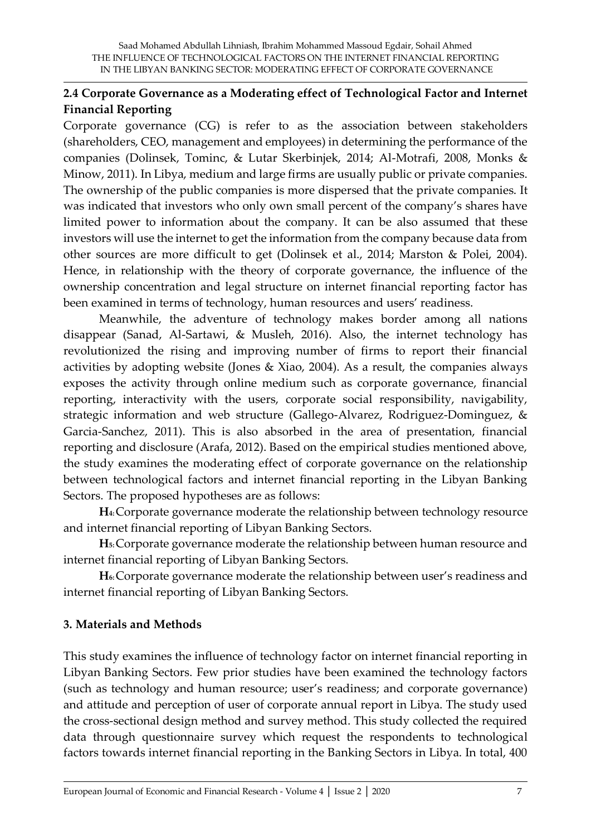# **2.4 Corporate Governance as a Moderating effect of Technological Factor and Internet Financial Reporting**

Corporate governance (CG) is refer to as the association between stakeholders (shareholders, CEO, management and employees) in determining the performance of the companies (Dolinsek, Tominc, & Lutar Skerbinjek, 2014; Al-Motrafi, 2008, Monks & Minow, 2011). In Libya, medium and large firms are usually public or private companies. The ownership of the public companies is more dispersed that the private companies. It was indicated that investors who only own small percent of the company's shares have limited power to information about the company. It can be also assumed that these investors will use the internet to get the information from the company because data from other sources are more difficult to get (Dolinsek et al., 2014; Marston & Polei, 2004). Hence, in relationship with the theory of corporate governance, the influence of the ownership concentration and legal structure on internet financial reporting factor has been examined in terms of technology, human resources and users' readiness.

Meanwhile, the adventure of technology makes border among all nations disappear (Sanad, Al-Sartawi, & Musleh, 2016). Also, the internet technology has revolutionized the rising and improving number of firms to report their financial activities by adopting website (Jones & Xiao, 2004). As a result, the companies always exposes the activity through online medium such as corporate governance, financial reporting, interactivity with the users, corporate social responsibility, navigability, strategic information and web structure (Gallego-Alvarez, Rodriguez-Dominguez, & Garcia-Sanchez, 2011). This is also absorbed in the area of presentation, financial reporting and disclosure (Arafa, 2012). Based on the empirical studies mentioned above, the study examines the moderating effect of corporate governance on the relationship between technological factors and internet financial reporting in the Libyan Banking Sectors. The proposed hypotheses are as follows:

**H4:**Corporate governance moderate the relationship between technology resource and internet financial reporting of Libyan Banking Sectors.

**H5:**Corporate governance moderate the relationship between human resource and internet financial reporting of Libyan Banking Sectors.

**H6:**Corporate governance moderate the relationship between user's readiness and internet financial reporting of Libyan Banking Sectors.

#### **3. Materials and Methods**

This study examines the influence of technology factor on internet financial reporting in Libyan Banking Sectors. Few prior studies have been examined the technology factors (such as technology and human resource; user's readiness; and corporate governance) and attitude and perception of user of corporate annual report in Libya. The study used the cross-sectional design method and survey method. This study collected the required data through questionnaire survey which request the respondents to technological factors towards internet financial reporting in the Banking Sectors in Libya. In total, 400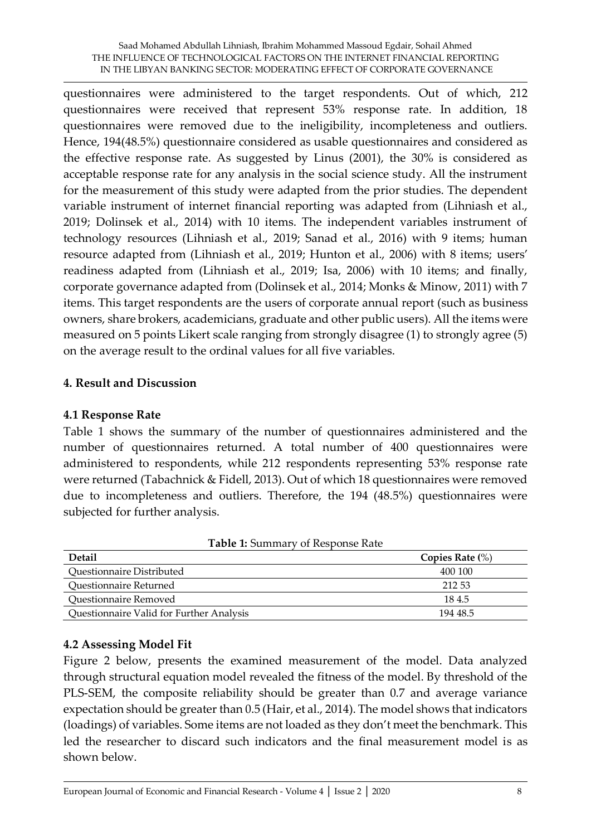questionnaires were administered to the target respondents. Out of which, 212 questionnaires were received that represent 53% response rate. In addition, 18 questionnaires were removed due to the ineligibility, incompleteness and outliers. Hence, 194(48.5%) questionnaire considered as usable questionnaires and considered as the effective response rate. As suggested by Linus (2001), the 30% is considered as acceptable response rate for any analysis in the social science study. All the instrument for the measurement of this study were adapted from the prior studies. The dependent variable instrument of internet financial reporting was adapted from (Lihniash et al., 2019; Dolinsek et al., 2014) with 10 items. The independent variables instrument of technology resources (Lihniash et al., 2019; Sanad et al., 2016) with 9 items; human resource adapted from (Lihniash et al., 2019; Hunton et al., 2006) with 8 items; users' readiness adapted from (Lihniash et al., 2019; Isa, 2006) with 10 items; and finally, corporate governance adapted from (Dolinsek et al., 2014; Monks & Minow, 2011) with 7 items. This target respondents are the users of corporate annual report (such as business owners, share brokers, academicians, graduate and other public users). All the items were measured on 5 points Likert scale ranging from strongly disagree (1) to strongly agree (5) on the average result to the ordinal values for all five variables.

# **4. Result and Discussion**

#### **4.1 Response Rate**

Table 1 shows the summary of the number of questionnaires administered and the number of questionnaires returned. A total number of 400 questionnaires were administered to respondents, while 212 respondents representing 53% response rate were returned (Tabachnick & Fidell, 2013). Out of which 18 questionnaires were removed due to incompleteness and outliers. Therefore, the 194 (48.5%) questionnaires were subjected for further analysis.

| <b>Table 1.</b> Building of Response Rate<br><b>Detail</b> | Copies Rate $(\%)$ |
|------------------------------------------------------------|--------------------|
| Questionnaire Distributed                                  | 400 100            |
| Questionnaire Returned                                     | 212.53             |
| Questionnaire Removed                                      | 184.5              |
| Questionnaire Valid for Further Analysis                   | 194 48.5           |

| Table 1: Summary of Response Rate |  |
|-----------------------------------|--|
|                                   |  |

#### **4.2 Assessing Model Fit**

Figure 2 below, presents the examined measurement of the model. Data analyzed through structural equation model revealed the fitness of the model. By threshold of the PLS-SEM, the composite reliability should be greater than 0.7 and average variance expectation should be greater than 0.5 (Hair, et al., 2014). The model shows that indicators (loadings) of variables. Some items are not loaded as they don't meet the benchmark. This led the researcher to discard such indicators and the final measurement model is as shown below.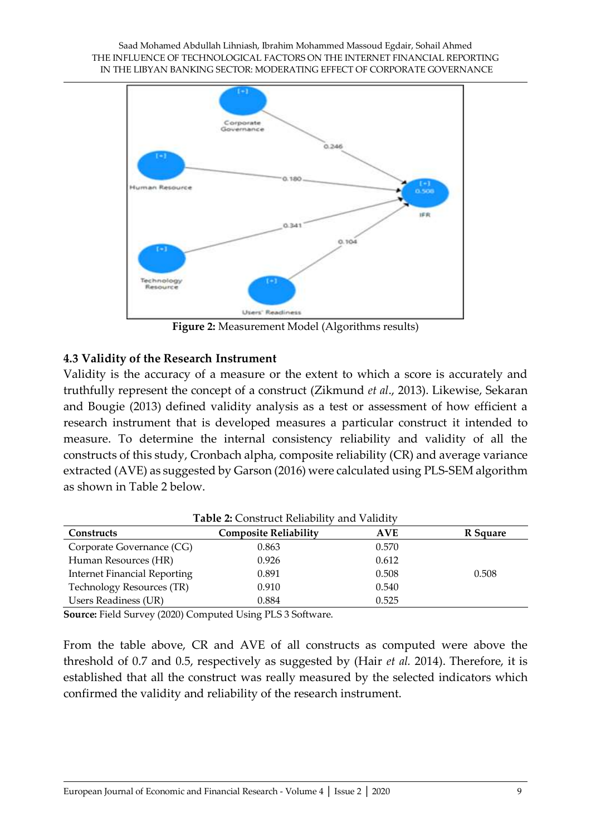

**Figure 2:** Measurement Model (Algorithms results)

# **4.3 Validity of the Research Instrument**

Validity is the accuracy of a measure or the extent to which a score is accurately and truthfully represent the concept of a construct (Zikmund *et al*., 2013). Likewise, Sekaran and Bougie (2013) defined validity analysis as a test or assessment of how efficient a research instrument that is developed measures a particular construct it intended to measure. To determine the internal consistency reliability and validity of all the constructs of this study, Cronbach alpha, composite reliability (CR) and average variance extracted (AVE) as suggested by Garson (2016) were calculated using PLS-SEM algorithm as shown in Table 2 below.

| <b>Table 2: Construct Reliability and Validity</b> |                              |            |          |
|----------------------------------------------------|------------------------------|------------|----------|
| Constructs                                         | <b>Composite Reliability</b> | <b>AVE</b> | R Square |
| Corporate Governance (CG)                          | 0.863                        | 0.570      |          |
| Human Resources (HR)                               | 0.926                        | 0.612      |          |
| <b>Internet Financial Reporting</b>                | 0.891                        | 0.508      | 0.508    |
| Technology Resources (TR)                          | 0.910                        | 0.540      |          |
| <b>Users Readiness (UR)</b>                        | 0.884                        | 0.525      |          |

**Source:** Field Survey (2020) Computed Using PLS 3 Software.

From the table above, CR and AVE of all constructs as computed were above the threshold of 0.7 and 0.5, respectively as suggested by (Hair *et al.* 2014). Therefore, it is established that all the construct was really measured by the selected indicators which confirmed the validity and reliability of the research instrument.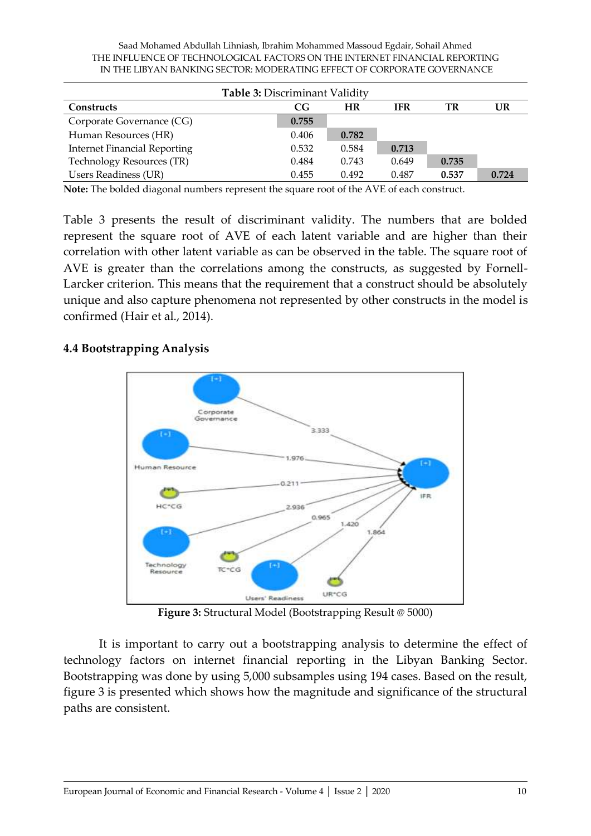Saad Mohamed Abdullah Lihniash, Ibrahim Mohammed Massoud Egdair, Sohail Ahmed THE INFLUENCE OF TECHNOLOGICAL FACTORS ON THE INTERNET FINANCIAL REPORTING IN THE LIBYAN BANKING SECTOR: MODERATING EFFECT OF CORPORATE GOVERNANCE

| <b>Table 3: Discriminant Validity</b> |       |       |       |       |       |
|---------------------------------------|-------|-------|-------|-------|-------|
| <b>Constructs</b>                     | CG    | HR    | IFR   | TR    | UR    |
| Corporate Governance (CG)             | 0.755 |       |       |       |       |
| Human Resources (HR)                  | 0.406 | 0.782 |       |       |       |
| <b>Internet Financial Reporting</b>   | 0.532 | 0.584 | 0.713 |       |       |
| Technology Resources (TR)             | 0.484 | 0.743 | 0.649 | 0.735 |       |
| <b>Users Readiness (UR)</b>           | 0.455 | 0.492 | 0.487 | 0.537 | 0.724 |

**Note:** The bolded diagonal numbers represent the square root of the AVE of each construct.

Table 3 presents the result of discriminant validity. The numbers that are bolded represent the square root of AVE of each latent variable and are higher than their correlation with other latent variable as can be observed in the table. The square root of AVE is greater than the correlations among the constructs, as suggested by Fornell-Larcker criterion. This means that the requirement that a construct should be absolutely unique and also capture phenomena not represented by other constructs in the model is confirmed (Hair et al., 2014).

#### **4.4 Bootstrapping Analysis**



**Figure 3:** Structural Model (Bootstrapping Result @ 5000)

It is important to carry out a bootstrapping analysis to determine the effect of technology factors on internet financial reporting in the Libyan Banking Sector. Bootstrapping was done by using 5,000 subsamples using 194 cases. Based on the result, figure 3 is presented which shows how the magnitude and significance of the structural paths are consistent.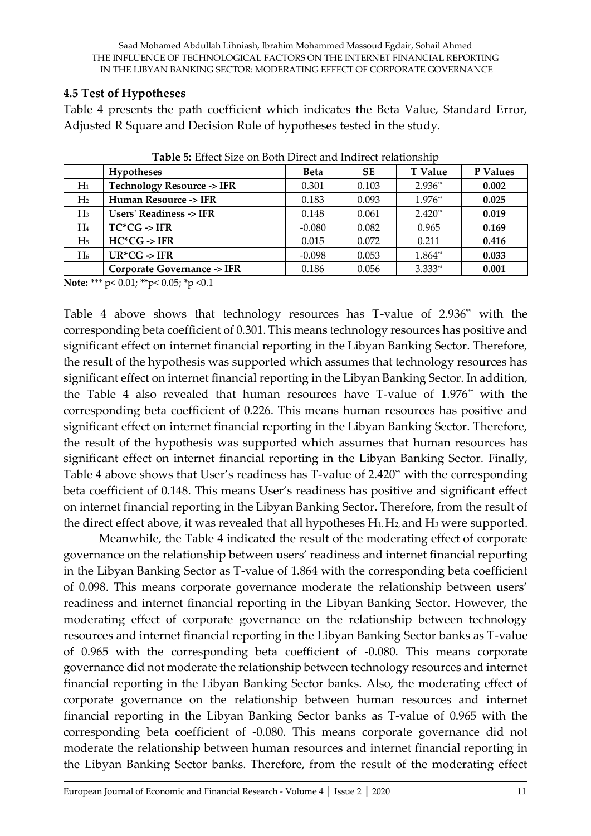#### **4.5 Test of Hypotheses**

Table 4 presents the path coefficient which indicates the Beta Value, Standard Error, Adjusted R Square and Decision Rule of hypotheses tested in the study.

|                | <b>Hypotheses</b>                    | <b>Beta</b> | <b>SE</b> | <b>T</b> Value | P Values |
|----------------|--------------------------------------|-------------|-----------|----------------|----------|
| $H_1$          | <b>Technology Resource -&gt; IFR</b> | 0.301       | 0.103     | $2.936**$      | 0.002    |
| H <sub>2</sub> | Human Resource -> IFR                | 0.183       | 0.093     | $1.976**$      | 0.025    |
| $H_3$          | Users' Readiness -> IFR              | 0.148       | 0.061     | $2.420**$      | 0.019    |
| $H_4$          | $TC^*CG \rightarrow IFR$             | $-0.080$    | 0.082     | 0.965          | 0.169    |
| H <sub>5</sub> | $HC^*CG \rightarrow IFR$             | 0.015       | 0.072     | 0.211          | 0.416    |
| H <sub>6</sub> | $UR^*CG \rightarrow IFR$             | $-0.098$    | 0.053     | $1.864**$      | 0.033    |
|                | Corporate Governance -> IFR          | 0.186       | 0.056     | $3.333**$      | 0.001    |

**Table 5:** Effect Size on Both Direct and Indirect relationship

**Note:** \*\*\* p< 0.01; \*\*p< 0.05; \*p <0.1

Table 4 above shows that technology resources has T-value of 2.936\*\* with the corresponding beta coefficient of 0.301. This means technology resources has positive and significant effect on internet financial reporting in the Libyan Banking Sector. Therefore, the result of the hypothesis was supported which assumes that technology resources has significant effect on internet financial reporting in the Libyan Banking Sector. In addition, the Table 4 also revealed that human resources have T-value of 1.976<sup>\*</sup> with the corresponding beta coefficient of 0.226. This means human resources has positive and significant effect on internet financial reporting in the Libyan Banking Sector. Therefore, the result of the hypothesis was supported which assumes that human resources has significant effect on internet financial reporting in the Libyan Banking Sector. Finally, Table 4 above shows that User's readiness has T-value of 2.420\* with the corresponding beta coefficient of 0.148. This means User's readiness has positive and significant effect on internet financial reporting in the Libyan Banking Sector. Therefore, from the result of the direct effect above, it was revealed that all hypotheses H<sub>1</sub>, H<sub>2</sub>, and H<sub>3</sub> were supported.

Meanwhile, the Table 4 indicated the result of the moderating effect of corporate governance on the relationship between users' readiness and internet financial reporting in the Libyan Banking Sector as T-value of 1.864 with the corresponding beta coefficient of 0.098. This means corporate governance moderate the relationship between users' readiness and internet financial reporting in the Libyan Banking Sector. However, the moderating effect of corporate governance on the relationship between technology resources and internet financial reporting in the Libyan Banking Sector banks as T-value of 0.965 with the corresponding beta coefficient of -0.080. This means corporate governance did not moderate the relationship between technology resources and internet financial reporting in the Libyan Banking Sector banks. Also, the moderating effect of corporate governance on the relationship between human resources and internet financial reporting in the Libyan Banking Sector banks as T-value of 0.965 with the corresponding beta coefficient of -0.080. This means corporate governance did not moderate the relationship between human resources and internet financial reporting in the Libyan Banking Sector banks. Therefore, from the result of the moderating effect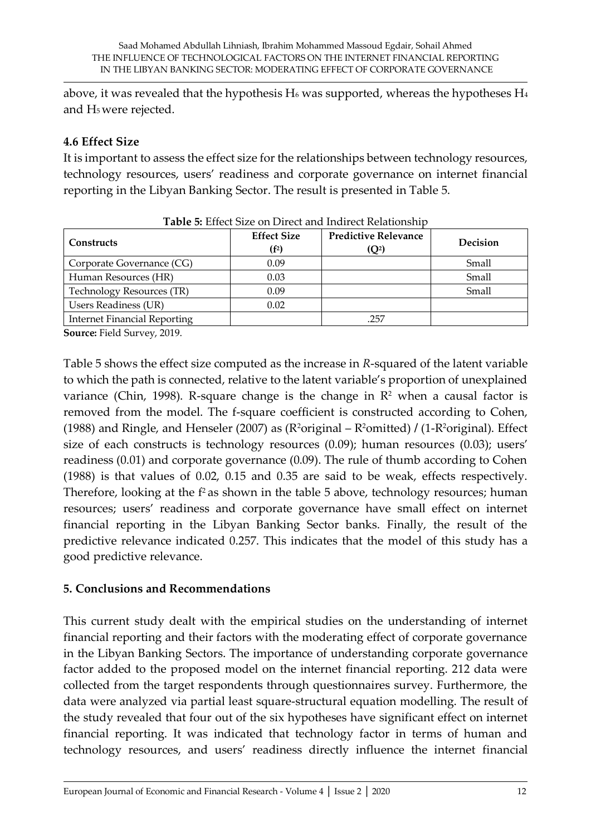above, it was revealed that the hypothesis  $H_6$  was supported, whereas the hypotheses  $H_4$ and H5 were rejected.

# **4.6 Effect Size**

It is important to assess the effect size for the relationships between technology resources, technology resources, users' readiness and corporate governance on internet financial reporting in the Libyan Banking Sector. The result is presented in Table 5.

| <b>Constructs</b>            | <b>Effect Size</b><br>(f <sup>2</sup> ) | <b>Predictive Relevance</b><br>(Q <sup>2</sup> ) | Decision |
|------------------------------|-----------------------------------------|--------------------------------------------------|----------|
| Corporate Governance (CG)    | 0.09                                    |                                                  | Small    |
| Human Resources (HR)         | 0.03                                    |                                                  | Small    |
| Technology Resources (TR)    | 0.09                                    |                                                  | Small    |
| Users Readiness (UR)         | 0.02                                    |                                                  |          |
| Internet Financial Reporting |                                         | .257                                             |          |

**Table 5:** Effect Size on Direct and Indirect Relationship

**Source:** Field Survey, 2019.

Table 5 shows the effect size computed as the increase in *R*-squared of the latent variable to which the path is connected, relative to the latent variable's proportion of unexplained variance (Chin, 1998). R-square change is the change in  $\mathbb{R}^2$  when a causal factor is removed from the model. The f-square coefficient is constructed according to Cohen, (1988) and Ringle, and Henseler (2007) as (R2original – R2omitted) **/** (1-R2original). Effect size of each constructs is technology resources (0.09); human resources (0.03); users' readiness (0.01) and corporate governance (0.09). The rule of thumb according to Cohen (1988) is that values of 0.02, 0.15 and 0.35 are said to be weak, effects respectively. Therefore, looking at the  $f<sup>2</sup>$  as shown in the table 5 above, technology resources; human resources; users' readiness and corporate governance have small effect on internet financial reporting in the Libyan Banking Sector banks. Finally, the result of the predictive relevance indicated 0.257. This indicates that the model of this study has a good predictive relevance.

# **5. Conclusions and Recommendations**

This current study dealt with the empirical studies on the understanding of internet financial reporting and their factors with the moderating effect of corporate governance in the Libyan Banking Sectors. The importance of understanding corporate governance factor added to the proposed model on the internet financial reporting. 212 data were collected from the target respondents through questionnaires survey. Furthermore, the data were analyzed via partial least square-structural equation modelling. The result of the study revealed that four out of the six hypotheses have significant effect on internet financial reporting. It was indicated that technology factor in terms of human and technology resources, and users' readiness directly influence the internet financial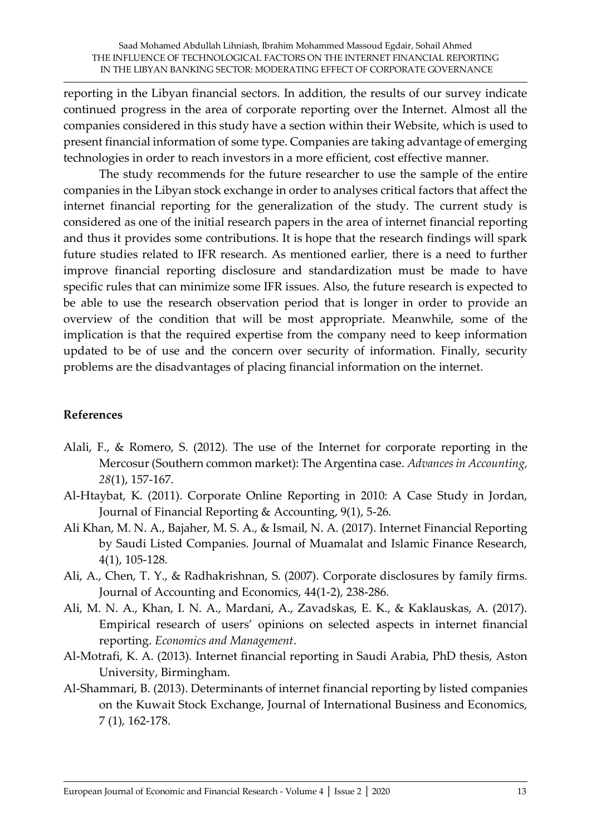reporting in the Libyan financial sectors. In addition, the results of our survey indicate continued progress in the area of corporate reporting over the Internet. Almost all the companies considered in this study have a section within their Website, which is used to present financial information of some type. Companies are taking advantage of emerging technologies in order to reach investors in a more efficient, cost effective manner.

The study recommends for the future researcher to use the sample of the entire companies in the Libyan stock exchange in order to analyses critical factors that affect the internet financial reporting for the generalization of the study. The current study is considered as one of the initial research papers in the area of internet financial reporting and thus it provides some contributions. It is hope that the research findings will spark future studies related to IFR research. As mentioned earlier, there is a need to further improve financial reporting disclosure and standardization must be made to have specific rules that can minimize some IFR issues. Also, the future research is expected to be able to use the research observation period that is longer in order to provide an overview of the condition that will be most appropriate. Meanwhile, some of the implication is that the required expertise from the company need to keep information updated to be of use and the concern over security of information. Finally, security problems are the disadvantages of placing financial information on the internet.

#### **References**

- Alali, F., & Romero, S. (2012). The use of the Internet for corporate reporting in the Mercosur (Southern common market): The Argentina case. *Advances in Accounting, 28*(1), 157-167.
- Al-Htaybat, K. (2011). Corporate Online Reporting in 2010: A Case Study in Jordan, Journal of Financial Reporting & Accounting, 9(1), 5-26.
- Ali Khan, M. N. A., Bajaher, M. S. A., & Ismail, N. A. (2017). Internet Financial Reporting by Saudi Listed Companies. Journal of Muamalat and Islamic Finance Research, 4(1), 105-128.
- Ali, A., Chen, T. Y., & Radhakrishnan, S. (2007). Corporate disclosures by family firms. Journal of Accounting and Economics, 44(1-2), 238-286.
- Ali, M. N. A., Khan, I. N. A., Mardani, A., Zavadskas, E. K., & Kaklauskas, A. (2017). Empirical research of users' opinions on selected aspects in internet financial reporting. *Economics and Management*.
- Al-Motrafi, K. A. (2013). Internet financial reporting in Saudi Arabia, PhD thesis, Aston University, Birmingham.
- Al-Shammari, B. (2013). Determinants of internet financial reporting by listed companies on the Kuwait Stock Exchange, Journal of International Business and Economics, 7 (1), 162-178.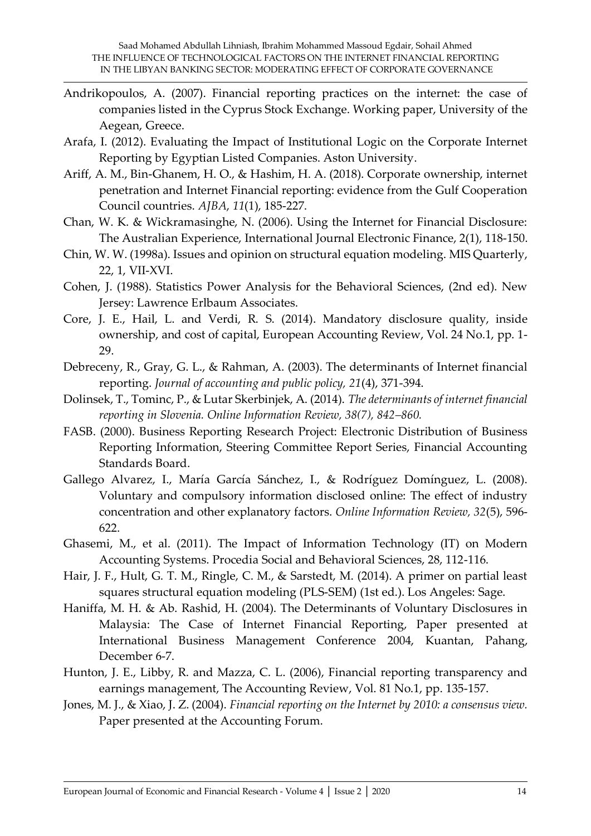- Andrikopoulos, A. (2007). Financial reporting practices on the internet: the case of companies listed in the Cyprus Stock Exchange. Working paper, University of the Aegean, Greece.
- Arafa, I. (2012). Evaluating the Impact of Institutional Logic on the Corporate Internet Reporting by Egyptian Listed Companies. Aston University.
- Ariff, A. M., Bin-Ghanem, H. O., & Hashim, H. A. (2018). Corporate ownership, internet penetration and Internet Financial reporting: evidence from the Gulf Cooperation Council countries. *AJBA*, *11*(1), 185-227.
- Chan, W. K. & Wickramasinghe, N. (2006). Using the Internet for Financial Disclosure: The Australian Experience, International Journal Electronic Finance, 2(1), 118-150.
- Chin, W. W. (1998a). Issues and opinion on structural equation modeling. MIS Quarterly, 22, 1, VII-XVI.
- Cohen, J. (1988). Statistics Power Analysis for the Behavioral Sciences, (2nd ed). New Jersey: Lawrence Erlbaum Associates.
- Core, J. E., Hail, L. and Verdi, R. S. (2014). Mandatory disclosure quality, inside ownership, and cost of capital, European Accounting Review, Vol. 24 No.1, pp. 1- 29.
- Debreceny, R., Gray, G. L., & Rahman, A. (2003). The determinants of Internet financial reporting. *Journal of accounting and public policy, 21*(4), 371-394.
- Dolinsek, T., Tominc, P., & Lutar Skerbinjek, A. (2014). *The determinants of internet financial reporting in Slovenia. Online Information Review, 38(7), 842–860.*
- FASB. (2000). Business Reporting Research Project: Electronic Distribution of Business Reporting Information, Steering Committee Report Series, Financial Accounting Standards Board.
- Gallego Alvarez, I., María García Sánchez, I., & Rodríguez Domínguez, L. (2008). Voluntary and compulsory information disclosed online: The effect of industry concentration and other explanatory factors. *Online Information Review, 32*(5), 596- 622.
- Ghasemi, M., et al. (2011). The Impact of Information Technology (IT) on Modern Accounting Systems. Procedia Social and Behavioral Sciences, 28, 112-116.
- Hair, J. F., Hult, G. T. M., Ringle, C. M., & Sarstedt, M. (2014). A primer on partial least squares structural equation modeling (PLS-SEM) (1st ed.). Los Angeles: Sage.
- Haniffa, M. H. & Ab. Rashid, H. (2004). The Determinants of Voluntary Disclosures in Malaysia: The Case of Internet Financial Reporting, Paper presented at International Business Management Conference 2004, Kuantan, Pahang, December 6-7.
- Hunton, J. E., Libby, R. and Mazza, C. L. (2006), Financial reporting transparency and earnings management, The Accounting Review, Vol. 81 No.1, pp. 135-157.
- Jones, M. J., & Xiao, J. Z. (2004). *Financial reporting on the Internet by 2010: a consensus view.* Paper presented at the Accounting Forum.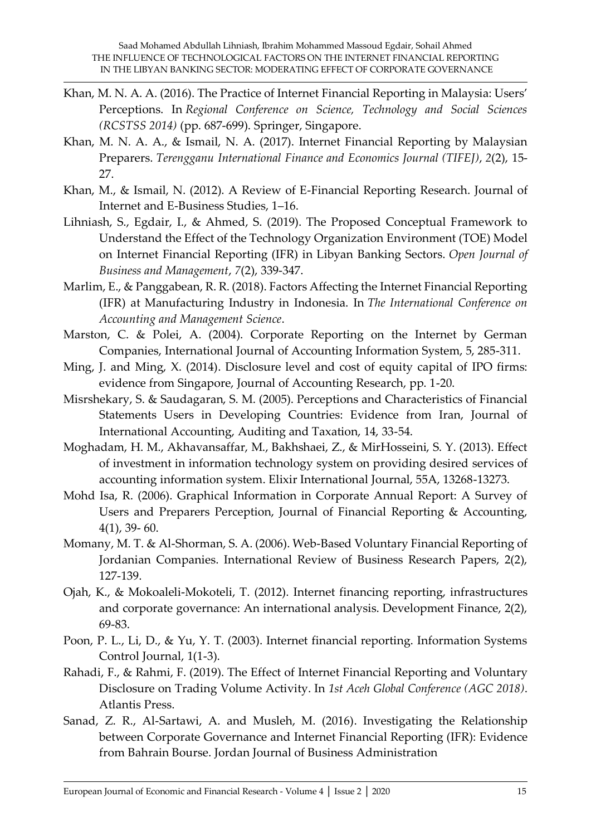- Khan, M. N. A. A. (2016). The Practice of Internet Financial Reporting in Malaysia: Users' Perceptions. In *Regional Conference on Science, Technology and Social Sciences (RCSTSS 2014)* (pp. 687-699). Springer, Singapore.
- Khan, M. N. A. A., & Ismail, N. A. (2017). Internet Financial Reporting by Malaysian Preparers. *Terengganu International Finance and Economics Journal (TIFEJ)*, *2*(2), 15- 27.
- Khan, M., & Ismail, N. (2012). A Review of E-Financial Reporting Research. Journal of Internet and E-Business Studies, 1–16.
- Lihniash, S., Egdair, I., & Ahmed, S. (2019). The Proposed Conceptual Framework to Understand the Effect of the Technology Organization Environment (TOE) Model on Internet Financial Reporting (IFR) in Libyan Banking Sectors. *Open Journal of Business and Management*, *7*(2), 339-347.
- Marlim, E., & Panggabean, R. R. (2018). Factors Affecting the Internet Financial Reporting (IFR) at Manufacturing Industry in Indonesia. In *The International Conference on Accounting and Management Science*.
- Marston, C. & Polei, A. (2004). Corporate Reporting on the Internet by German Companies, International Journal of Accounting Information System, 5, 285-311.
- Ming, J. and Ming, X. (2014). Disclosure level and cost of equity capital of IPO firms: evidence from Singapore, Journal of Accounting Research, pp. 1-20.
- Misrshekary, S. & Saudagaran, S. M. (2005). Perceptions and Characteristics of Financial Statements Users in Developing Countries: Evidence from Iran, Journal of International Accounting, Auditing and Taxation, 14, 33-54.
- Moghadam, H. M., Akhavansaffar, M., Bakhshaei, Z., & MirHosseini, S. Y. (2013). Effect of investment in information technology system on providing desired services of accounting information system. Elixir International Journal, 55A, 13268-13273.
- Mohd Isa, R. (2006). Graphical Information in Corporate Annual Report: A Survey of Users and Preparers Perception, Journal of Financial Reporting & Accounting, 4(1), 39- 60.
- Momany, M. T. & Al-Shorman, S. A. (2006). Web-Based Voluntary Financial Reporting of Jordanian Companies. International Review of Business Research Papers, 2(2), 127-139.
- Ojah, K., & Mokoaleli-Mokoteli, T. (2012). Internet financing reporting, infrastructures and corporate governance: An international analysis. Development Finance, 2(2), 69-83.
- Poon, P. L., Li, D., & Yu, Y. T. (2003). Internet financial reporting. Information Systems Control Journal, 1(1-3).
- Rahadi, F., & Rahmi, F. (2019). The Effect of Internet Financial Reporting and Voluntary Disclosure on Trading Volume Activity. In *1st Aceh Global Conference (AGC 2018)*. Atlantis Press.
- Sanad, Z. R., Al-Sartawi, A. and Musleh, M. (2016). Investigating the Relationship between Corporate Governance and Internet Financial Reporting (IFR): Evidence from Bahrain Bourse. Jordan Journal of Business Administration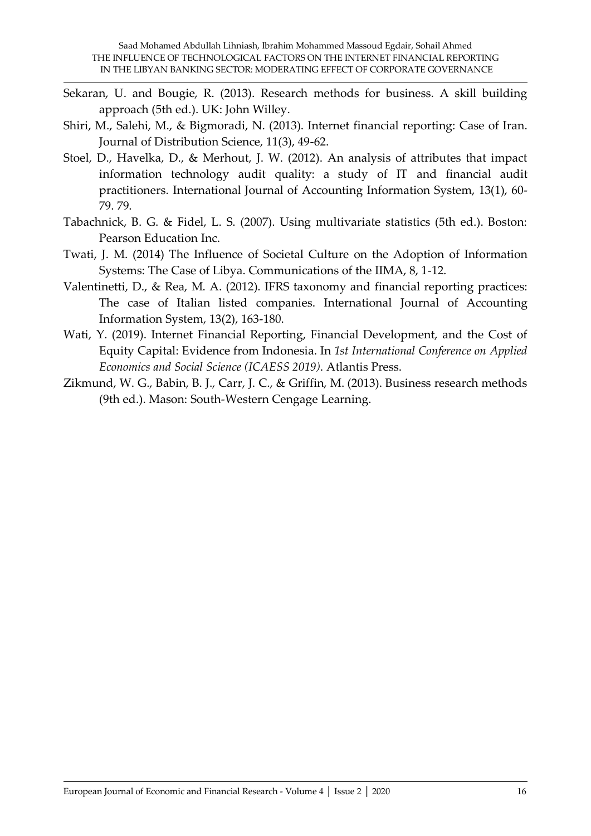- Sekaran, U. and Bougie, R. (2013). Research methods for business. A skill building approach (5th ed.). UK: John Willey.
- Shiri, M., Salehi, M., & Bigmoradi, N. (2013). Internet financial reporting: Case of Iran. Journal of Distribution Science, 11(3), 49-62.
- Stoel, D., Havelka, D., & Merhout, J. W. (2012). An analysis of attributes that impact information technology audit quality: a study of IT and financial audit practitioners. International Journal of Accounting Information System, 13(1), 60- 79. 79.
- Tabachnick, B. G. & Fidel, L. S. (2007). Using multivariate statistics (5th ed.). Boston: Pearson Education Inc.
- Twati, J. M. (2014) The Influence of Societal Culture on the Adoption of Information Systems: The Case of Libya. Communications of the IIMA, 8, 1-12.
- Valentinetti, D., & Rea, M. A. (2012). IFRS taxonomy and financial reporting practices: The case of Italian listed companies. International Journal of Accounting Information System, 13(2), 163-180.
- Wati, Y. (2019). Internet Financial Reporting, Financial Development, and the Cost of Equity Capital: Evidence from Indonesia. In *1st International Conference on Applied Economics and Social Science (ICAESS 2019)*. Atlantis Press.
- Zikmund, W. G., Babin, B. J., Carr, J. C., & Griffin, M. (2013). Business research methods (9th ed.). Mason: South-Western Cengage Learning.